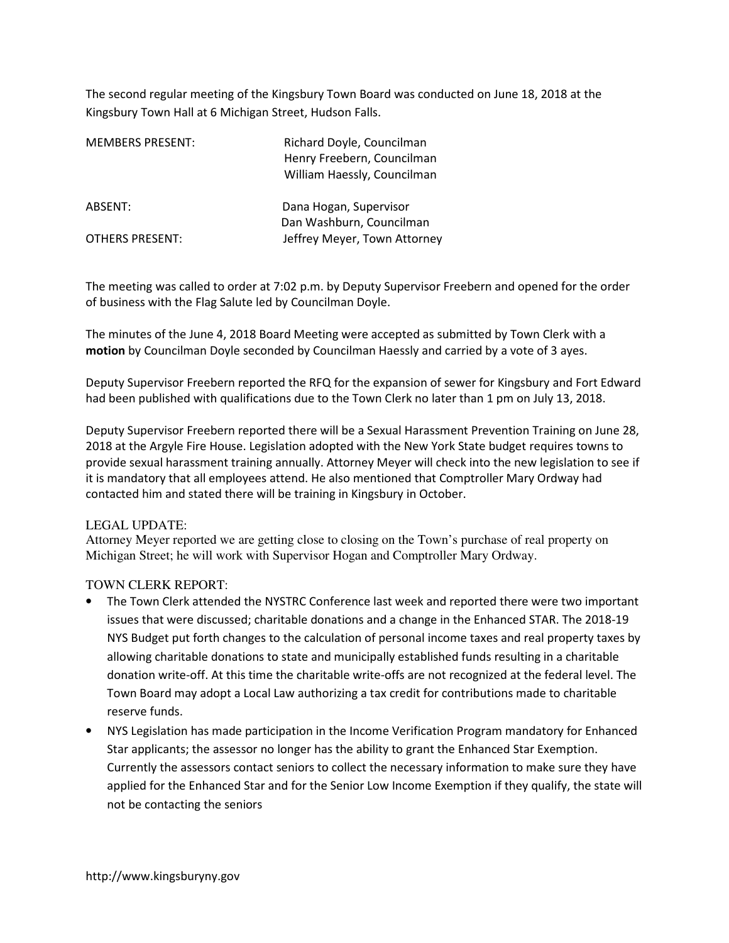The second regular meeting of the Kingsbury Town Board was conducted on June 18, 2018 at the Kingsbury Town Hall at 6 Michigan Street, Hudson Falls.

| <b>MEMBERS PRESENT:</b> | Richard Doyle, Councilman<br>Henry Freebern, Councilman<br>William Haessly, Councilman |
|-------------------------|----------------------------------------------------------------------------------------|
| ABSENT:                 | Dana Hogan, Supervisor<br>Dan Washburn, Councilman                                     |
| <b>OTHERS PRESENT:</b>  | Jeffrey Meyer, Town Attorney                                                           |

The meeting was called to order at 7:02 p.m. by Deputy Supervisor Freebern and opened for the order of business with the Flag Salute led by Councilman Doyle.

The minutes of the June 4, 2018 Board Meeting were accepted as submitted by Town Clerk with a motion by Councilman Doyle seconded by Councilman Haessly and carried by a vote of 3 ayes.

Deputy Supervisor Freebern reported the RFQ for the expansion of sewer for Kingsbury and Fort Edward had been published with qualifications due to the Town Clerk no later than 1 pm on July 13, 2018.

Deputy Supervisor Freebern reported there will be a Sexual Harassment Prevention Training on June 28, 2018 at the Argyle Fire House. Legislation adopted with the New York State budget requires towns to provide sexual harassment training annually. Attorney Meyer will check into the new legislation to see if it is mandatory that all employees attend. He also mentioned that Comptroller Mary Ordway had contacted him and stated there will be training in Kingsbury in October.

## LEGAL UPDATE:

Attorney Meyer reported we are getting close to closing on the Town's purchase of real property on Michigan Street; he will work with Supervisor Hogan and Comptroller Mary Ordway.

## TOWN CLERK REPORT:

- The Town Clerk attended the NYSTRC Conference last week and reported there were two important issues that were discussed; charitable donations and a change in the Enhanced STAR. The 2018-19 NYS Budget put forth changes to the calculation of personal income taxes and real property taxes by allowing charitable donations to state and municipally established funds resulting in a charitable donation write-off. At this time the charitable write-offs are not recognized at the federal level. The Town Board may adopt a Local Law authorizing a tax credit for contributions made to charitable reserve funds.
- NYS Legislation has made participation in the Income Verification Program mandatory for Enhanced Star applicants; the assessor no longer has the ability to grant the Enhanced Star Exemption. Currently the assessors contact seniors to collect the necessary information to make sure they have applied for the Enhanced Star and for the Senior Low Income Exemption if they qualify, the state will not be contacting the seniors